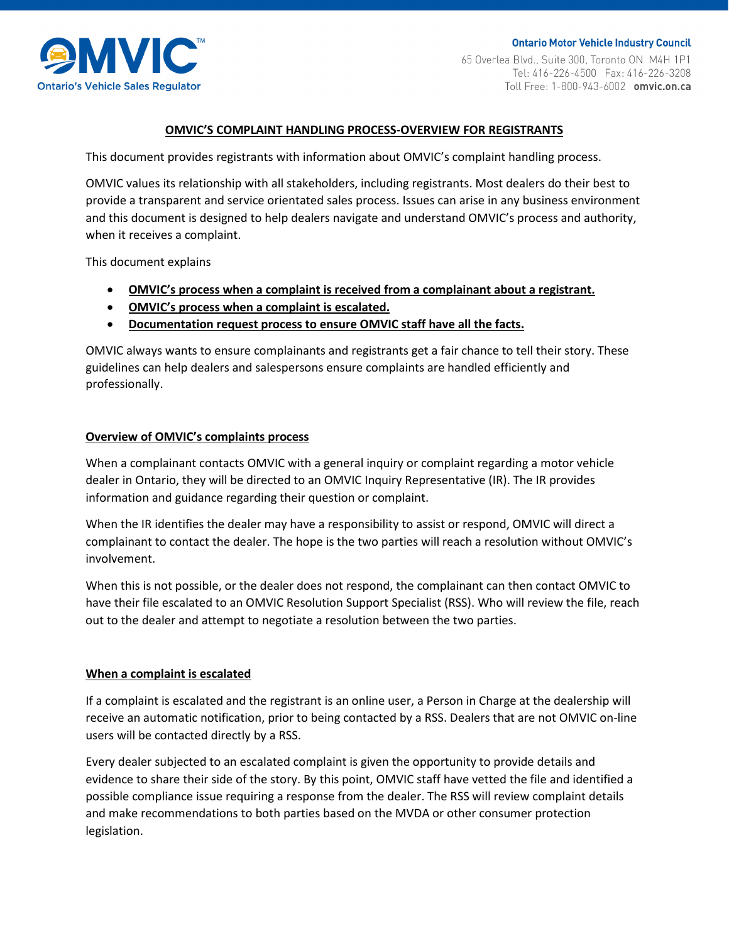

**Ontario Motor Vehicle Industry Council** 65 Overlea Blvd., Suite 300, Toronto ON M4H 1P1 Toll Free: 1-800-943-6002 omvic.on.ca

# **OMVIC'S COMPLAINT HANDLING PROCESS-OVERVIEW FOR REGISTRANTS**

This document provides registrants with information about OMVIC's complaint handling process.

OMVIC values its relationship with all stakeholders, including registrants. Most dealers do their best to provide a transparent and service orientated sales process. Issues can arise in any business environment and this document is designed to help dealers navigate and understand OMVIC's process and authority, when it receives a complaint.

This document explains

- **OMVIC's process when a complaint is received from a complainant about a registrant.**
- **OMVIC's process when a complaint is escalated.**
- **Documentation request process to ensure OMVIC staff have all the facts.**

OMVIC always wants to ensure complainants and registrants get a fair chance to tell their story. These guidelines can help dealers and salespersons ensure complaints are handled efficiently and professionally.

## **Overview of OMVIC's complaints process**

When a complainant contacts OMVIC with a general inquiry or complaint regarding a motor vehicle dealer in Ontario, they will be directed to an OMVIC Inquiry Representative (IR). The IR provides information and guidance regarding their question or complaint.

When the IR identifies the dealer may have a responsibility to assist or respond, OMVIC will direct a complainant to contact the dealer. The hope is the two parties will reach a resolution without OMVIC's involvement.

When this is not possible, or the dealer does not respond, the complainant can then contact OMVIC to have their file escalated to an OMVIC Resolution Support Specialist (RSS). Who will review the file, reach out to the dealer and attempt to negotiate a resolution between the two parties.

### **When a complaint is escalated**

If a complaint is escalated and the registrant is an online user, a Person in Charge at the dealership will receive an automatic notification, prior to being contacted by a RSS. Dealers that are not OMVIC on-line users will be contacted directly by a RSS.

Every dealer subjected to an escalated complaint is given the opportunity to provide details and evidence to share their side of the story. By this point, OMVIC staff have vetted the file and identified a possible compliance issue requiring a response from the dealer. The RSS will review complaint details and make recommendations to both parties based on the MVDA or other consumer protection legislation.